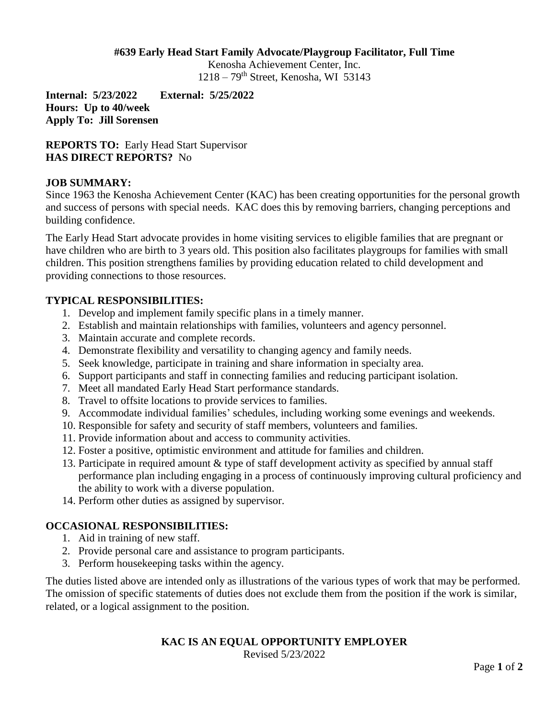#### **#639 Early Head Start Family Advocate/Playgroup Facilitator, Full Time**

Kenosha Achievement Center, Inc. 1218 – 79th Street, Kenosha, WI 53143

**Internal: 5/23/2022 External: 5/25/2022 Hours: Up to 40/week Apply To: Jill Sorensen**

**REPORTS TO:** Early Head Start Supervisor **HAS DIRECT REPORTS?** No

### **JOB SUMMARY:**

Since 1963 the Kenosha Achievement Center (KAC) has been creating opportunities for the personal growth and success of persons with special needs. KAC does this by removing barriers, changing perceptions and building confidence.

The Early Head Start advocate provides in home visiting services to eligible families that are pregnant or have children who are birth to 3 years old. This position also facilitates playgroups for families with small children. This position strengthens families by providing education related to child development and providing connections to those resources.

### **TYPICAL RESPONSIBILITIES:**

- 1. Develop and implement family specific plans in a timely manner.
- 2. Establish and maintain relationships with families, volunteers and agency personnel.
- 3. Maintain accurate and complete records.
- 4. Demonstrate flexibility and versatility to changing agency and family needs.
- 5. Seek knowledge, participate in training and share information in specialty area.
- 6. Support participants and staff in connecting families and reducing participant isolation.
- 7. Meet all mandated Early Head Start performance standards.
- 8. Travel to offsite locations to provide services to families.
- 9. Accommodate individual families' schedules, including working some evenings and weekends.
- 10. Responsible for safety and security of staff members, volunteers and families.
- 11. Provide information about and access to community activities.
- 12. Foster a positive, optimistic environment and attitude for families and children.
- 13. Participate in required amount & type of staff development activity as specified by annual staff performance plan including engaging in a process of continuously improving cultural proficiency and the ability to work with a diverse population.
- 14. Perform other duties as assigned by supervisor.

# **OCCASIONAL RESPONSIBILITIES:**

- 1. Aid in training of new staff.
- 2. Provide personal care and assistance to program participants.
- 3. Perform housekeeping tasks within the agency.

The duties listed above are intended only as illustrations of the various types of work that may be performed. The omission of specific statements of duties does not exclude them from the position if the work is similar, related, or a logical assignment to the position.

# **KAC IS AN EQUAL OPPORTUNITY EMPLOYER**

Revised 5/23/2022